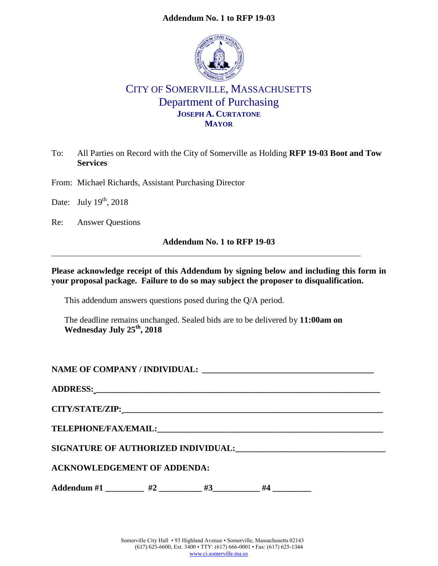# **Addendum No. 1 to RFP 19-03**



# CITY OF SOMERVILLE, MASSACHUSETTS Department of Purchasing **JOSEPH A. CURTATONE MAYOR**

To: All Parties on Record with the City of Somerville as Holding **RFP 19-03 Boot and Tow Services**

From: Michael Richards, Assistant Purchasing Director

Date: July  $19<sup>th</sup>$ , 2018

Re: Answer Questions

# **Addendum No. 1 to RFP 19-03**

**Please acknowledge receipt of this Addendum by signing below and including this form in your proposal package. Failure to do so may subject the proposer to disqualification.**

This addendum answers questions posed during the Q/A period.

The deadline remains unchanged. Sealed bids are to be delivered by **11:00am on Wednesday July 25th, 2018**

| <b>ACKNOWLEDGEMENT OF ADDENDA:</b> |
|------------------------------------|

**Addendum #1 \_\_\_\_\_\_\_\_\_ #2 \_\_\_\_\_\_\_\_\_\_ #3\_\_\_\_\_\_\_\_\_\_\_ #4 \_\_\_\_\_\_\_\_\_**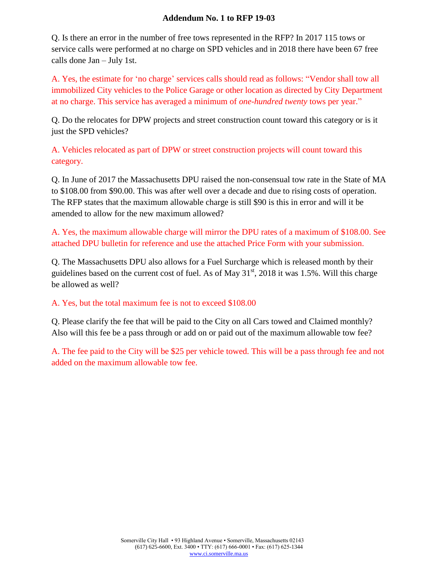# **Addendum No. 1 to RFP 19-03**

Q. Is there an error in the number of free tows represented in the RFP? In 2017 115 tows or service calls were performed at no charge on SPD vehicles and in 2018 there have been 67 free calls done Jan – July 1st.

A. Yes, the estimate for 'no charge' services calls should read as follows: "Vendor shall tow all immobilized City vehicles to the Police Garage or other location as directed by City Department at no charge. This service has averaged a minimum of *one-hundred twenty* tows per year."

Q. Do the relocates for DPW projects and street construction count toward this category or is it just the SPD vehicles?

A. Vehicles relocated as part of DPW or street construction projects will count toward this category.

Q. In June of 2017 the Massachusetts DPU raised the non-consensual tow rate in the State of MA to \$108.00 from \$90.00. This was after well over a decade and due to rising costs of operation. The RFP states that the maximum allowable charge is still \$90 is this in error and will it be amended to allow for the new maximum allowed?

A. Yes, the maximum allowable charge will mirror the DPU rates of a maximum of \$108.00. See attached DPU bulletin for reference and use the attached Price Form with your submission.

Q. The Massachusetts DPU also allows for a Fuel Surcharge which is released month by their guidelines based on the current cost of fuel. As of May  $31<sup>st</sup>$ , 2018 it was 1.5%. Will this charge be allowed as well?

A. Yes, but the total maximum fee is not to exceed \$108.00

Q. Please clarify the fee that will be paid to the City on all Cars towed and Claimed monthly? Also will this fee be a pass through or add on or paid out of the maximum allowable tow fee?

A. The fee paid to the City will be \$25 per vehicle towed. This will be a pass through fee and not added on the maximum allowable tow fee.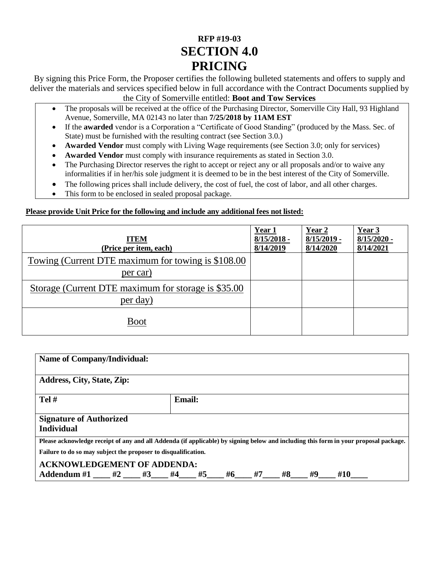# **[RFP #19-03](#page--1-0) SECTION 4.0 PRICING**

By signing this Price Form, the Proposer certifies the following bulleted statements and offers to supply and deliver the materials and services specified below in full accordance with the Contract Documents supplied by the City of Somerville entitled: **[Boot and Tow Services](#page--1-1)**

- The proposals will be received at the office of the Purchasing Director, Somerville City Hall, 93 Highland Avenue, Somerville, MA 02143 no later than **7/25/2018 [by 11AM EST](#page--1-2)**
- If the **awarded** vendor is a Corporation a "Certificate of Good Standing" (produced by the Mass. Sec. of State) must be furnished with the resulting contract (see Section 3.0.)
- **Awarded Vendor** must comply with Living Wage requirements (see Section 3.0; only for services)
- **Awarded Vendor** must comply with insurance requirements as stated in Section 3.0.
- The Purchasing Director reserves the right to accept or reject any or all proposals and/or to waive any informalities if in her/his sole judgment it is deemed to be in the best interest of the City of Somerville.
- The following prices shall include delivery, the cost of fuel, the cost of labor, and all other charges.
- This form to be enclosed in sealed proposal package.

# **Please provide Unit Price for the following and include any additional fees not listed:**

| <b>ITEM</b><br>(Price per item, each)                            | Year 1<br>$8/15/2018$ -<br>8/14/2019 | Year 2<br>$8/15/2019$ -<br>8/14/2020 | Year 3<br>$8/15/2020$ -<br>8/14/2021 |
|------------------------------------------------------------------|--------------------------------------|--------------------------------------|--------------------------------------|
| Towing (Current DTE maximum for towing is \$108.00)<br>per car)  |                                      |                                      |                                      |
| Storage (Current DTE maximum for storage is \$35.00)<br>per day) |                                      |                                      |                                      |
| <b>Boot</b>                                                      |                                      |                                      |                                      |

| <b>Name of Company/Individual:</b>                             |  |  |               |  |       |    |       |    |                                                                                                                                      |  |
|----------------------------------------------------------------|--|--|---------------|--|-------|----|-------|----|--------------------------------------------------------------------------------------------------------------------------------------|--|
| <b>Address, City, State, Zip:</b>                              |  |  |               |  |       |    |       |    |                                                                                                                                      |  |
| $Tel \#$                                                       |  |  | <b>Email:</b> |  |       |    |       |    |                                                                                                                                      |  |
| <b>Signature of Authorized</b><br><b>Individual</b>            |  |  |               |  |       |    |       |    |                                                                                                                                      |  |
|                                                                |  |  |               |  |       |    |       |    | Please acknowledge receipt of any and all Addenda (if applicable) by signing below and including this form in your proposal package. |  |
| Failure to do so may subject the proposer to disqualification. |  |  |               |  |       |    |       |    |                                                                                                                                      |  |
| <b>ACKNOWLEDGEMENT OF ADDENDA:</b>                             |  |  |               |  |       |    |       |    |                                                                                                                                      |  |
| Addendum #1 ____ #2 ____ #3 ___ #4 ___ #5                      |  |  |               |  | $\#6$ | #7 | $\#8$ | #9 | #10                                                                                                                                  |  |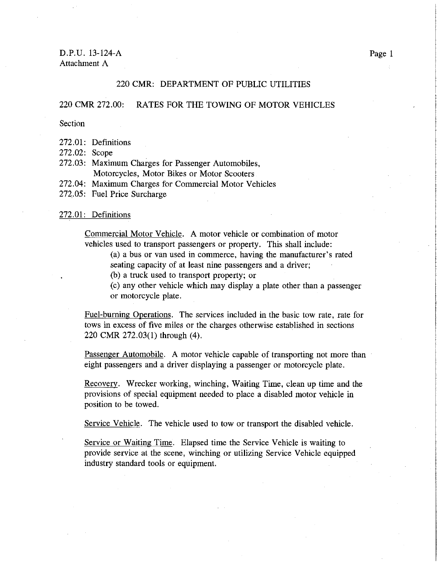D.P.U. 13-124-A Attachment A

### 220 CMR: DEPARTMENT OF PUBLIC UTILITIES

#### 220 CMR 272.00: RATES FOR THE TOWING OF MOTOR VEHICLES

Section

272.01: Definitions

272.02: Scope

- 272.03: Maximum Charges for Passenger Automobiles, Motorcycles, Motor Bikes or Motor Scooters
- 272.04: Maximum Charges for Commercial Motor Vehicles
- 272.05: Fuel Price Surcharge

#### 272.01: Definitions

Commercial Motor Vehicle. A motor vehicle or combination of motor vehicles used to transport passengers or property. This shall include:

(a) a bus or van used in commerce, having the manufacturer's rated seating capacity of at least nine passengers and a driver;

(b) a truck used to transport property; or

(c) any other vehicle which may display a plate other than a passenger or motorcycle plate.

Fuel-burning Operations. The services included in the basic tow rate, rate for tows in excess of five miles or the charges otherwise established in sections 220 CMR 272.03(1) through (4).

Passenger Automobile. A motor vehicle capable of transporting not more than eight passengers and a driver displaying a passenger or motorcycle plate.

Recovery. Wrecker working, winching, Waiting Time, clean up time and the provisions of special equipment needed to place a disabled motor vehicle in position to be towed.

Service Vehicle. The vehicle used to tow or transport the disabled vehicle.

Service or Waiting Time. Elapsed time the Service Vehicle is waiting to provide service at the scene, winching or utilizing Service Vehicle equipped industry standard tools or equipment.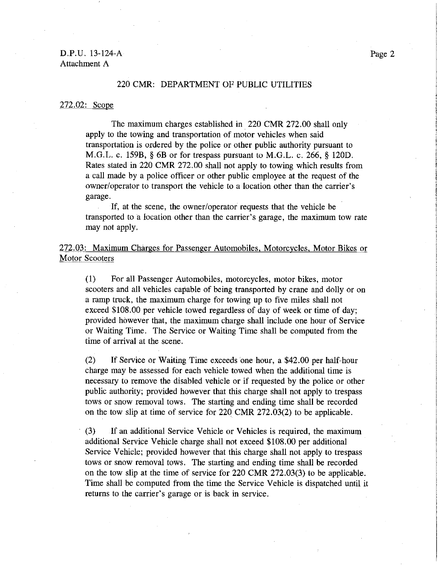# D.P.U. 13-124-A Attachment A

#### 220 CMR: DEPARTMENT OF PUBLIC UTILITIES

#### 272.02: Scope

The maximum charges established in 220 CMR 272.00 shall only apply to the towing and transportation of motor vehicles when said transportation is ordered by the police or other public authority pursuant to M.G.L. c. 159B, § 6B or for trespass pursuant to M.G.L. c. 266, § 120D. Rates stated in 220 CMR 272.00 shall not apply to towing which results from a call made by a police officer or other public employee at the request of the owner/operator to transport the vehicle to a location other than the carrier's garage.

If, at the scene, the owner/operator requests that the vehicle be transported to a location other than the carrier's garage, the maximum tow rate may not apply.

272.03: Maximum Charges for Passenger Automobiles, Motorcycles, Motor Bikes or **Motor Scooters** 

 $(1)$ For all Passenger Automobiles, motorcycles, motor bikes, motor scooters and all vehicles capable of being transported by crane and dolly or on a ramp truck, the maximum charge for towing up to five miles shall not exceed \$108.00 per vehicle towed regardless of day of week or time of day; provided however that, the maximum charge shall include one hour of Service or Waiting Time. The Service or Waiting Time shall be computed from the time of arrival at the scene.

 $(2)$ If Service or Waiting Time exceeds one hour, a \$42.00 per half-hour charge may be assessed for each vehicle towed when the additional time is necessary to remove the disabled vehicle or if requested by the police or other public authority; provided however that this charge shall not apply to trespass tows or snow removal tows. The starting and ending time shall be recorded on the tow slip at time of service for 220 CMR 272.03(2) to be applicable.

 $(3)$ If an additional Service Vehicle or Vehicles is required, the maximum additional Service Vehicle charge shall not exceed \$108.00 per additional Service Vehicle; provided however that this charge shall not apply to trespass tows or snow removal tows. The starting and ending time shall be recorded on the tow slip at the time of service for 220 CMR 272.03(3) to be applicable. Time shall be computed from the time the Service Vehicle is dispatched until it returns to the carrier's garage or is back in service.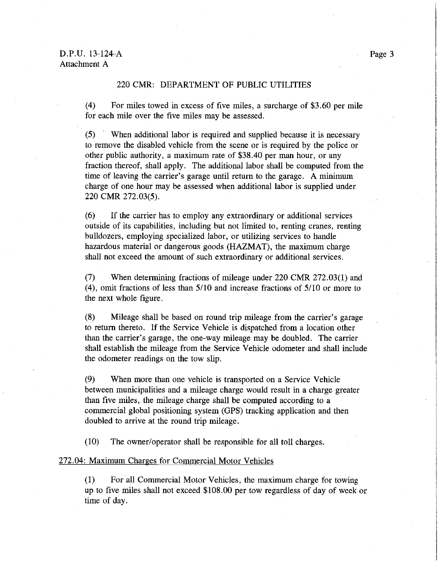## 220 CMR: DEPARTMENT OF PUBLIC UTILITIES

 $(4)$ For miles towed in excess of five miles, a surcharge of \$3.60 per mile for each mile over the five miles may be assessed.

When additional labor is required and supplied because it is necessary  $(5)$ to remove the disabled vehicle from the scene or is required by the police or other public authority, a maximum rate of \$38.40 per man hour, or any fraction thereof, shall apply. The additional labor shall be computed from the time of leaving the carrier's garage until return to the garage. A minimum charge of one hour may be assessed when additional labor is supplied under 220 CMR 272.03(5).

 $(6)$ If the carrier has to employ any extraordinary or additional services outside of its capabilities, including but not limited to, renting cranes, renting bulldozers, employing specialized labor, or utilizing services to handle hazardous material or dangerous goods (HAZMAT), the maximum charge shall not exceed the amount of such extraordinary or additional services.

When determining fractions of mileage under 220 CMR 272.03(1) and  $(7)$  $(4)$ , omit fractions of less than  $5/10$  and increase fractions of  $5/10$  or more to the next whole figure.

 $(8)$ Mileage shall be based on round trip mileage from the carrier's garage to return thereto. If the Service Vehicle is dispatched from a location other than the carrier's garage, the one-way mileage may be doubled. The carrier shall establish the mileage from the Service Vehicle odometer and shall include the odometer readings on the tow slip.

When more than one vehicle is transported on a Service Vehicle  $(9)$ between municipalities and a mileage charge would result in a charge greater than five miles, the mileage charge shall be computed according to a commercial global positioning system (GPS) tracking application and then doubled to arrive at the round trip mileage.

 $(10)$ The owner/operator shall be responsible for all toll charges.

#### 272.04: Maximum Charges for Commercial Motor Vehicles

 $(1)$ For all Commercial Motor Vehicles, the maximum charge for towing up to five miles shall not exceed \$108.00 per tow regardless of day of week or time of day.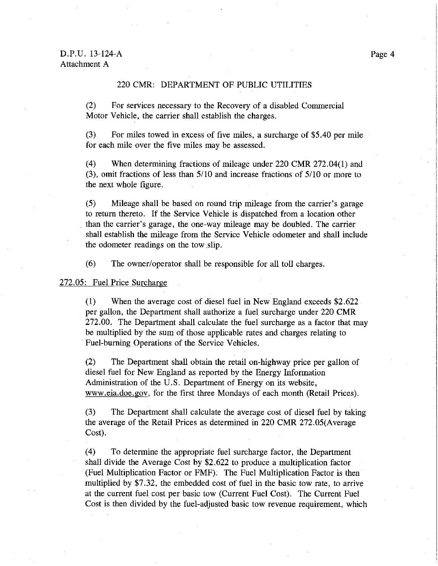# 220 CMR: DEPARTMENT OF PUBLIC UTILITIES

 $(2)$ For services necessary to the Recovery of a disabled Commercial Motor Vehicle, the carrier shall establish the charges.

 $(3)$ For miles towed in excess of five miles, a surcharge of \$5.40 per mile for each mile over the five miles may be assessed.

 $(4)$ When determining fractions of mileage under 220 CMR 272.04(1) and  $(3)$ , omit fractions of less than  $5/10$  and increase fractions of  $5/10$  or more to the next whole figure.

 $(5)$ Mileage shall be based on round trip mileage from the carrier's garage to return thereto. If the Service Vehicle is dispatched from a location other than the carrier's garage, the one-way mileage may be doubled. The carrier shall establish the mileage from the Service Vehicle odometer and shall include the odometer readings on the tow slip.

 $(6)$ The owner/operator shall be responsible for all toll charges.

272.05: Fuel Price Surcharge

 $(1)$ When the average cost of diesel fuel in New England exceeds \$2.622 per gallon, the Department shall authorize a fuel surcharge under 220 CMR 272.00. The Department shall calculate the fuel surcharge as a factor that may be multiplied by the sum of those applicable rates and charges relating to Fuel-burning Operations of the Service Vehicles.

 $(2)$ The Department shall obtain the retail on-highway price per gallon of diesel fuel for New England as reported by the Energy Information Administration of the U.S. Department of Energy on its website, www.eia.doe.gov, for the first three Mondays of each month (Retail Prices).

 $(3)$ The Department shall calculate the average cost of diesel fuel by taking the average of the Retail Prices as determined in 220 CMR 272.05(Average Cost).

 $(4)$ To determine the appropriate fuel surcharge factor, the Department shall divide the Average Cost by \$2.622 to produce a multiplication factor (Fuel Multiplication Factor or FMF). The Fuel Multiplication Factor is then multiplied by \$7.32, the embedded cost of fuel in the basic tow rate, to arrive at the current fuel cost per basic tow (Current Fuel Cost). The Current Fuel Cost is then divided by the fuel-adjusted basic tow revenue requirement, which